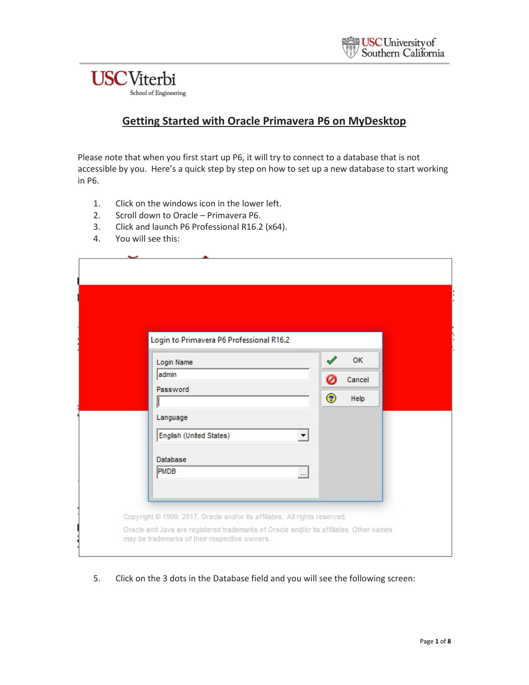

#### **Getting Started with Oracle Primavera P6 on MyDesktop**

Please note that when you first start up P6, it will try to connect to a database that is not accessible by you. Here's a quick step by step on how to set up a new database to start working in P6.

- 1. Click on the windows icon in the lower left.
- 2. Scroll down to Oracle Primavera P6.
- 3. Click and launch P6 Professional R16.2 (x64).
- 4. You will see this:

| Login to Primavera P6 Professional R16.2        |               |                |  |
|-------------------------------------------------|---------------|----------------|--|
| Login Name                                      |               | <b>OK</b>      |  |
| admin<br>Password                               | $\circledast$ | Cancel<br>Help |  |
| Language                                        |               |                |  |
| English (United States)<br>▼<br><b>Database</b> |               |                |  |
| PMDB<br>$\cdots$                                |               |                |  |

5. Click on the 3 dots in the Database field and you will see the following screen: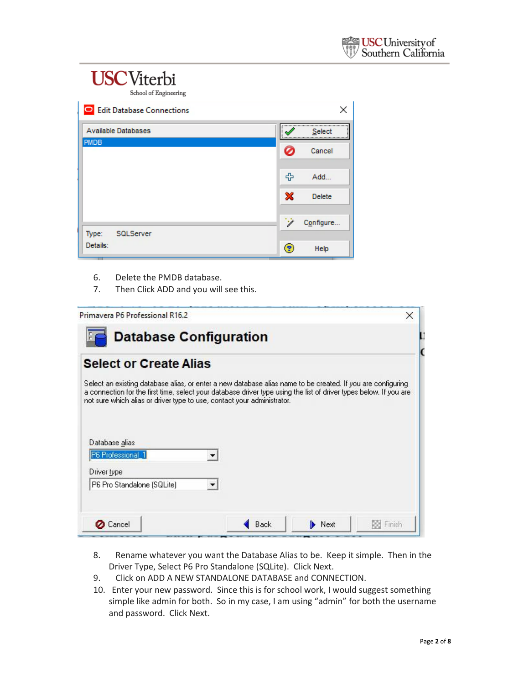| School of Engineering       |      |               |
|-----------------------------|------|---------------|
| O Edit Database Connections |      | ×             |
| <b>Available Databases</b>  |      | Select        |
| <b>PMDB</b>                 |      | Cancel        |
|                             | 帝    | Add           |
|                             | ×    | <b>Delete</b> |
| Type:<br>SQLServer          | ينين | Configure     |
| Details:                    | (?   | Help          |

- 6. Delete the PMDB database.
- 7. Then Click ADD and you will see this.

| Primavera P6 Professional R16.2                                                                                                                                                                                                                                                                              |      |      | ×          |
|--------------------------------------------------------------------------------------------------------------------------------------------------------------------------------------------------------------------------------------------------------------------------------------------------------------|------|------|------------|
| <b>Database Configuration</b>                                                                                                                                                                                                                                                                                |      |      |            |
| <b>Select or Create Alias</b>                                                                                                                                                                                                                                                                                |      |      |            |
| Select an existing database alias, or enter a new database alias name to be created. If you are configuring<br>a connection for the first time, select your database driver type using the list of driver types below. If you are<br>not sure which alias or driver type to use, contact your administrator. |      |      |            |
| Database alias<br>P6 Professional 1                                                                                                                                                                                                                                                                          |      |      |            |
| Driver type<br>P6 Pro Standalone (SQLite)                                                                                                                                                                                                                                                                    |      |      |            |
| <b>Cancel</b>                                                                                                                                                                                                                                                                                                | Back | Next | Rod Finish |

- 8. Rename whatever you want the Database Alias to be. Keep it simple. Then in the Driver Type, Select P6 Pro Standalone (SQLite). Click Next.
- 9. Click on ADD A NEW STANDALONE DATABASE and CONNECTION.
- 10. Enter your new password. Since this is for school work, I would suggest something simple like admin for both. So in my case, I am using "admin" for both the username and password. Click Next.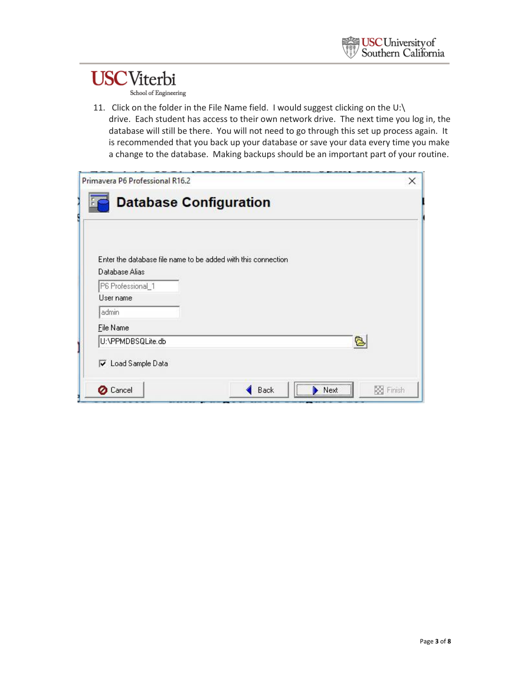School of Engineering

11. Click on the folder in the File Name field. I would suggest clicking on the U:\ drive. Each student has access to their own network drive. The next time you log in, the database will still be there. You will not need to go through this set up process again. It is recommended that you back up your database or save your data every time you make a change to the database. Making backups should be an important part of your routine.

| Primavera P6 Professional R16.2     |                                                               |   |
|-------------------------------------|---------------------------------------------------------------|---|
|                                     | <b>Database Configuration</b>                                 |   |
|                                     | Enter the database file name to be added with this connection |   |
| Database Alias<br>P6 Professional_1 |                                                               |   |
| User name                           |                                                               |   |
| admin                               |                                                               |   |
| File Name                           |                                                               |   |
| U:\PPMDBSQLite.db                   |                                                               | ē |
| V Load Sample Data                  |                                                               |   |
|                                     |                                                               |   |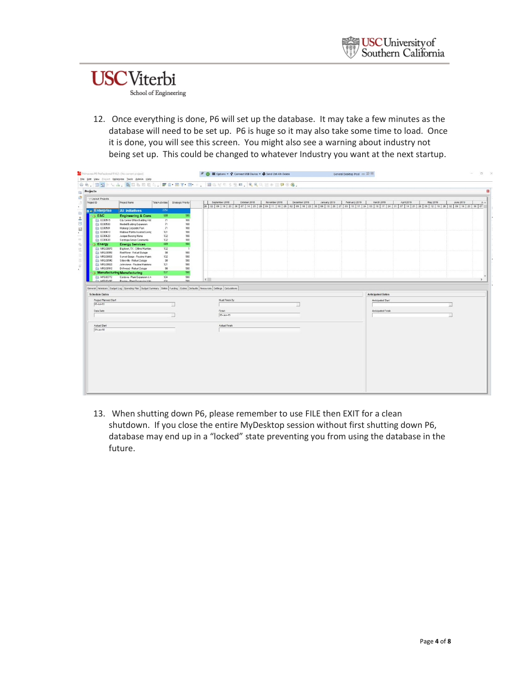### **USC**Viterbi School of Engineering

12. Once everything is done, P6 will set up the database. It may take a few minutes as the database will need to be set up. P6 is huge so it may also take some time to load. Once it is done, you will see this screen. You might also see a warning about industry not being set up. This could be changed to whatever Industry you want at the next startup.

| 84. 09 - LA BILDRA FOR T. B. JERCLING CORPOR.<br>Projects<br>V Layout Projects<br>December 2018<br>Total Activities   Strategic Priority<br>September 2018<br>October 2018<br>November 2018<br>January 2019<br>February 2019<br>March 2019<br>April 2019<br>May 2019<br>Project ID<br>Project Name<br>2254<br><b>Enterprise</b><br><b>All Initiatives</b><br>608<br>E&C<br>500<br><b>Engineering &amp; Cons</b><br>City Center Office Building Adc<br>EC00515<br>71<br>100<br>EC00530<br>Nesbid Building Expansion<br>71<br>100<br>EC00501<br>Haitang Corporate Park<br>71<br>100<br>Harbour Pointe Assisted Livinc<br>131<br>100<br>EC00610<br>132<br>EC00620<br>100<br>Juniper Nursing Home<br>132<br>100<br><b>Cons30</b><br>Saratoga Senior Community<br>689<br>500<br>& Energy<br><b>Energy Services</b><br>Baytown, TX - Offine Mainten-<br>132<br>NRG00870<br>$\overline{1}$<br><b>NRG00950</b><br>Red River - Retuel Outage<br>98<br>500<br>132<br>NRG00800<br>Sunset Gorge - Routine Maints<br>500<br>98<br>500<br>Silersville - Retuel Outage<br>NRG00940<br>Johnstown - Routine Maintena<br>131<br>500<br>NRG00820<br>98<br>500<br>NRG00910<br>Driftwood - Refuel Dutage<br>500<br>537<br>Manufacturing Manufacturing<br>134<br>500<br>MFG00772<br>Cordova - Plant Expansion & M<br>$\sim$<br>the MECODIAN<br>son.<br>Racing - Plant Europeine 1.14<br>124<br>General Notebook Budget Log Spending Plan Budget Summary Dates Funding Codes Defaults Resources Settings Calculations<br><b>Schedule Dates</b><br><b>Anticipated Dates</b> | June 2019<br>上八<br>26 02 09 16 23 30 07 14 21 28 04 11 18 25 02 09 16 23 30 06 13 20 27 03 10 17 24 03 10 17 24 31 07 14 21 28 05 12 19 28 02 09 16 23 30 07<br>$\rightarrow$<br>Must Finish By<br>Anticipated Start | Project Planned Start<br>01-Jul-10<br>Anticipated Finish<br>Data Date<br>Finish<br>05-Jan-15<br>Actual Start<br>Actual Finish<br>$01 -$ Jul-10 |  |  | File Edit View Project Enterprise Tools Admin Help |  |  |  |  |  |  |
|-----------------------------------------------------------------------------------------------------------------------------------------------------------------------------------------------------------------------------------------------------------------------------------------------------------------------------------------------------------------------------------------------------------------------------------------------------------------------------------------------------------------------------------------------------------------------------------------------------------------------------------------------------------------------------------------------------------------------------------------------------------------------------------------------------------------------------------------------------------------------------------------------------------------------------------------------------------------------------------------------------------------------------------------------------------------------------------------------------------------------------------------------------------------------------------------------------------------------------------------------------------------------------------------------------------------------------------------------------------------------------------------------------------------------------------------------------------------------------------------------------------------------------------------------------|----------------------------------------------------------------------------------------------------------------------------------------------------------------------------------------------------------------------|------------------------------------------------------------------------------------------------------------------------------------------------|--|--|----------------------------------------------------|--|--|--|--|--|--|
|                                                                                                                                                                                                                                                                                                                                                                                                                                                                                                                                                                                                                                                                                                                                                                                                                                                                                                                                                                                                                                                                                                                                                                                                                                                                                                                                                                                                                                                                                                                                                     |                                                                                                                                                                                                                      |                                                                                                                                                |  |  |                                                    |  |  |  |  |  |  |
|                                                                                                                                                                                                                                                                                                                                                                                                                                                                                                                                                                                                                                                                                                                                                                                                                                                                                                                                                                                                                                                                                                                                                                                                                                                                                                                                                                                                                                                                                                                                                     |                                                                                                                                                                                                                      |                                                                                                                                                |  |  |                                                    |  |  |  |  |  |  |
|                                                                                                                                                                                                                                                                                                                                                                                                                                                                                                                                                                                                                                                                                                                                                                                                                                                                                                                                                                                                                                                                                                                                                                                                                                                                                                                                                                                                                                                                                                                                                     |                                                                                                                                                                                                                      |                                                                                                                                                |  |  |                                                    |  |  |  |  |  |  |
|                                                                                                                                                                                                                                                                                                                                                                                                                                                                                                                                                                                                                                                                                                                                                                                                                                                                                                                                                                                                                                                                                                                                                                                                                                                                                                                                                                                                                                                                                                                                                     |                                                                                                                                                                                                                      |                                                                                                                                                |  |  |                                                    |  |  |  |  |  |  |
|                                                                                                                                                                                                                                                                                                                                                                                                                                                                                                                                                                                                                                                                                                                                                                                                                                                                                                                                                                                                                                                                                                                                                                                                                                                                                                                                                                                                                                                                                                                                                     |                                                                                                                                                                                                                      |                                                                                                                                                |  |  |                                                    |  |  |  |  |  |  |
|                                                                                                                                                                                                                                                                                                                                                                                                                                                                                                                                                                                                                                                                                                                                                                                                                                                                                                                                                                                                                                                                                                                                                                                                                                                                                                                                                                                                                                                                                                                                                     |                                                                                                                                                                                                                      |                                                                                                                                                |  |  |                                                    |  |  |  |  |  |  |
|                                                                                                                                                                                                                                                                                                                                                                                                                                                                                                                                                                                                                                                                                                                                                                                                                                                                                                                                                                                                                                                                                                                                                                                                                                                                                                                                                                                                                                                                                                                                                     |                                                                                                                                                                                                                      |                                                                                                                                                |  |  |                                                    |  |  |  |  |  |  |
|                                                                                                                                                                                                                                                                                                                                                                                                                                                                                                                                                                                                                                                                                                                                                                                                                                                                                                                                                                                                                                                                                                                                                                                                                                                                                                                                                                                                                                                                                                                                                     |                                                                                                                                                                                                                      |                                                                                                                                                |  |  |                                                    |  |  |  |  |  |  |
|                                                                                                                                                                                                                                                                                                                                                                                                                                                                                                                                                                                                                                                                                                                                                                                                                                                                                                                                                                                                                                                                                                                                                                                                                                                                                                                                                                                                                                                                                                                                                     |                                                                                                                                                                                                                      |                                                                                                                                                |  |  |                                                    |  |  |  |  |  |  |
|                                                                                                                                                                                                                                                                                                                                                                                                                                                                                                                                                                                                                                                                                                                                                                                                                                                                                                                                                                                                                                                                                                                                                                                                                                                                                                                                                                                                                                                                                                                                                     |                                                                                                                                                                                                                      |                                                                                                                                                |  |  |                                                    |  |  |  |  |  |  |
|                                                                                                                                                                                                                                                                                                                                                                                                                                                                                                                                                                                                                                                                                                                                                                                                                                                                                                                                                                                                                                                                                                                                                                                                                                                                                                                                                                                                                                                                                                                                                     |                                                                                                                                                                                                                      |                                                                                                                                                |  |  |                                                    |  |  |  |  |  |  |
|                                                                                                                                                                                                                                                                                                                                                                                                                                                                                                                                                                                                                                                                                                                                                                                                                                                                                                                                                                                                                                                                                                                                                                                                                                                                                                                                                                                                                                                                                                                                                     |                                                                                                                                                                                                                      |                                                                                                                                                |  |  |                                                    |  |  |  |  |  |  |
|                                                                                                                                                                                                                                                                                                                                                                                                                                                                                                                                                                                                                                                                                                                                                                                                                                                                                                                                                                                                                                                                                                                                                                                                                                                                                                                                                                                                                                                                                                                                                     |                                                                                                                                                                                                                      |                                                                                                                                                |  |  |                                                    |  |  |  |  |  |  |
|                                                                                                                                                                                                                                                                                                                                                                                                                                                                                                                                                                                                                                                                                                                                                                                                                                                                                                                                                                                                                                                                                                                                                                                                                                                                                                                                                                                                                                                                                                                                                     |                                                                                                                                                                                                                      |                                                                                                                                                |  |  |                                                    |  |  |  |  |  |  |
|                                                                                                                                                                                                                                                                                                                                                                                                                                                                                                                                                                                                                                                                                                                                                                                                                                                                                                                                                                                                                                                                                                                                                                                                                                                                                                                                                                                                                                                                                                                                                     |                                                                                                                                                                                                                      |                                                                                                                                                |  |  |                                                    |  |  |  |  |  |  |
|                                                                                                                                                                                                                                                                                                                                                                                                                                                                                                                                                                                                                                                                                                                                                                                                                                                                                                                                                                                                                                                                                                                                                                                                                                                                                                                                                                                                                                                                                                                                                     |                                                                                                                                                                                                                      |                                                                                                                                                |  |  |                                                    |  |  |  |  |  |  |
|                                                                                                                                                                                                                                                                                                                                                                                                                                                                                                                                                                                                                                                                                                                                                                                                                                                                                                                                                                                                                                                                                                                                                                                                                                                                                                                                                                                                                                                                                                                                                     |                                                                                                                                                                                                                      |                                                                                                                                                |  |  |                                                    |  |  |  |  |  |  |
|                                                                                                                                                                                                                                                                                                                                                                                                                                                                                                                                                                                                                                                                                                                                                                                                                                                                                                                                                                                                                                                                                                                                                                                                                                                                                                                                                                                                                                                                                                                                                     |                                                                                                                                                                                                                      |                                                                                                                                                |  |  |                                                    |  |  |  |  |  |  |
|                                                                                                                                                                                                                                                                                                                                                                                                                                                                                                                                                                                                                                                                                                                                                                                                                                                                                                                                                                                                                                                                                                                                                                                                                                                                                                                                                                                                                                                                                                                                                     |                                                                                                                                                                                                                      |                                                                                                                                                |  |  |                                                    |  |  |  |  |  |  |
|                                                                                                                                                                                                                                                                                                                                                                                                                                                                                                                                                                                                                                                                                                                                                                                                                                                                                                                                                                                                                                                                                                                                                                                                                                                                                                                                                                                                                                                                                                                                                     |                                                                                                                                                                                                                      |                                                                                                                                                |  |  |                                                    |  |  |  |  |  |  |
|                                                                                                                                                                                                                                                                                                                                                                                                                                                                                                                                                                                                                                                                                                                                                                                                                                                                                                                                                                                                                                                                                                                                                                                                                                                                                                                                                                                                                                                                                                                                                     |                                                                                                                                                                                                                      |                                                                                                                                                |  |  |                                                    |  |  |  |  |  |  |
|                                                                                                                                                                                                                                                                                                                                                                                                                                                                                                                                                                                                                                                                                                                                                                                                                                                                                                                                                                                                                                                                                                                                                                                                                                                                                                                                                                                                                                                                                                                                                     |                                                                                                                                                                                                                      |                                                                                                                                                |  |  |                                                    |  |  |  |  |  |  |
|                                                                                                                                                                                                                                                                                                                                                                                                                                                                                                                                                                                                                                                                                                                                                                                                                                                                                                                                                                                                                                                                                                                                                                                                                                                                                                                                                                                                                                                                                                                                                     |                                                                                                                                                                                                                      |                                                                                                                                                |  |  |                                                    |  |  |  |  |  |  |
|                                                                                                                                                                                                                                                                                                                                                                                                                                                                                                                                                                                                                                                                                                                                                                                                                                                                                                                                                                                                                                                                                                                                                                                                                                                                                                                                                                                                                                                                                                                                                     |                                                                                                                                                                                                                      |                                                                                                                                                |  |  |                                                    |  |  |  |  |  |  |
|                                                                                                                                                                                                                                                                                                                                                                                                                                                                                                                                                                                                                                                                                                                                                                                                                                                                                                                                                                                                                                                                                                                                                                                                                                                                                                                                                                                                                                                                                                                                                     |                                                                                                                                                                                                                      |                                                                                                                                                |  |  |                                                    |  |  |  |  |  |  |
|                                                                                                                                                                                                                                                                                                                                                                                                                                                                                                                                                                                                                                                                                                                                                                                                                                                                                                                                                                                                                                                                                                                                                                                                                                                                                                                                                                                                                                                                                                                                                     |                                                                                                                                                                                                                      |                                                                                                                                                |  |  |                                                    |  |  |  |  |  |  |
|                                                                                                                                                                                                                                                                                                                                                                                                                                                                                                                                                                                                                                                                                                                                                                                                                                                                                                                                                                                                                                                                                                                                                                                                                                                                                                                                                                                                                                                                                                                                                     |                                                                                                                                                                                                                      |                                                                                                                                                |  |  |                                                    |  |  |  |  |  |  |
|                                                                                                                                                                                                                                                                                                                                                                                                                                                                                                                                                                                                                                                                                                                                                                                                                                                                                                                                                                                                                                                                                                                                                                                                                                                                                                                                                                                                                                                                                                                                                     |                                                                                                                                                                                                                      |                                                                                                                                                |  |  |                                                    |  |  |  |  |  |  |
|                                                                                                                                                                                                                                                                                                                                                                                                                                                                                                                                                                                                                                                                                                                                                                                                                                                                                                                                                                                                                                                                                                                                                                                                                                                                                                                                                                                                                                                                                                                                                     |                                                                                                                                                                                                                      |                                                                                                                                                |  |  |                                                    |  |  |  |  |  |  |
|                                                                                                                                                                                                                                                                                                                                                                                                                                                                                                                                                                                                                                                                                                                                                                                                                                                                                                                                                                                                                                                                                                                                                                                                                                                                                                                                                                                                                                                                                                                                                     |                                                                                                                                                                                                                      |                                                                                                                                                |  |  |                                                    |  |  |  |  |  |  |
|                                                                                                                                                                                                                                                                                                                                                                                                                                                                                                                                                                                                                                                                                                                                                                                                                                                                                                                                                                                                                                                                                                                                                                                                                                                                                                                                                                                                                                                                                                                                                     |                                                                                                                                                                                                                      |                                                                                                                                                |  |  |                                                    |  |  |  |  |  |  |
|                                                                                                                                                                                                                                                                                                                                                                                                                                                                                                                                                                                                                                                                                                                                                                                                                                                                                                                                                                                                                                                                                                                                                                                                                                                                                                                                                                                                                                                                                                                                                     |                                                                                                                                                                                                                      |                                                                                                                                                |  |  |                                                    |  |  |  |  |  |  |
|                                                                                                                                                                                                                                                                                                                                                                                                                                                                                                                                                                                                                                                                                                                                                                                                                                                                                                                                                                                                                                                                                                                                                                                                                                                                                                                                                                                                                                                                                                                                                     |                                                                                                                                                                                                                      |                                                                                                                                                |  |  |                                                    |  |  |  |  |  |  |
|                                                                                                                                                                                                                                                                                                                                                                                                                                                                                                                                                                                                                                                                                                                                                                                                                                                                                                                                                                                                                                                                                                                                                                                                                                                                                                                                                                                                                                                                                                                                                     |                                                                                                                                                                                                                      |                                                                                                                                                |  |  |                                                    |  |  |  |  |  |  |
|                                                                                                                                                                                                                                                                                                                                                                                                                                                                                                                                                                                                                                                                                                                                                                                                                                                                                                                                                                                                                                                                                                                                                                                                                                                                                                                                                                                                                                                                                                                                                     |                                                                                                                                                                                                                      |                                                                                                                                                |  |  |                                                    |  |  |  |  |  |  |
|                                                                                                                                                                                                                                                                                                                                                                                                                                                                                                                                                                                                                                                                                                                                                                                                                                                                                                                                                                                                                                                                                                                                                                                                                                                                                                                                                                                                                                                                                                                                                     |                                                                                                                                                                                                                      |                                                                                                                                                |  |  |                                                    |  |  |  |  |  |  |
|                                                                                                                                                                                                                                                                                                                                                                                                                                                                                                                                                                                                                                                                                                                                                                                                                                                                                                                                                                                                                                                                                                                                                                                                                                                                                                                                                                                                                                                                                                                                                     |                                                                                                                                                                                                                      |                                                                                                                                                |  |  |                                                    |  |  |  |  |  |  |
|                                                                                                                                                                                                                                                                                                                                                                                                                                                                                                                                                                                                                                                                                                                                                                                                                                                                                                                                                                                                                                                                                                                                                                                                                                                                                                                                                                                                                                                                                                                                                     |                                                                                                                                                                                                                      |                                                                                                                                                |  |  |                                                    |  |  |  |  |  |  |
|                                                                                                                                                                                                                                                                                                                                                                                                                                                                                                                                                                                                                                                                                                                                                                                                                                                                                                                                                                                                                                                                                                                                                                                                                                                                                                                                                                                                                                                                                                                                                     |                                                                                                                                                                                                                      |                                                                                                                                                |  |  |                                                    |  |  |  |  |  |  |
|                                                                                                                                                                                                                                                                                                                                                                                                                                                                                                                                                                                                                                                                                                                                                                                                                                                                                                                                                                                                                                                                                                                                                                                                                                                                                                                                                                                                                                                                                                                                                     |                                                                                                                                                                                                                      |                                                                                                                                                |  |  |                                                    |  |  |  |  |  |  |
|                                                                                                                                                                                                                                                                                                                                                                                                                                                                                                                                                                                                                                                                                                                                                                                                                                                                                                                                                                                                                                                                                                                                                                                                                                                                                                                                                                                                                                                                                                                                                     |                                                                                                                                                                                                                      |                                                                                                                                                |  |  |                                                    |  |  |  |  |  |  |
|                                                                                                                                                                                                                                                                                                                                                                                                                                                                                                                                                                                                                                                                                                                                                                                                                                                                                                                                                                                                                                                                                                                                                                                                                                                                                                                                                                                                                                                                                                                                                     |                                                                                                                                                                                                                      |                                                                                                                                                |  |  |                                                    |  |  |  |  |  |  |
|                                                                                                                                                                                                                                                                                                                                                                                                                                                                                                                                                                                                                                                                                                                                                                                                                                                                                                                                                                                                                                                                                                                                                                                                                                                                                                                                                                                                                                                                                                                                                     |                                                                                                                                                                                                                      |                                                                                                                                                |  |  |                                                    |  |  |  |  |  |  |
|                                                                                                                                                                                                                                                                                                                                                                                                                                                                                                                                                                                                                                                                                                                                                                                                                                                                                                                                                                                                                                                                                                                                                                                                                                                                                                                                                                                                                                                                                                                                                     |                                                                                                                                                                                                                      |                                                                                                                                                |  |  |                                                    |  |  |  |  |  |  |
|                                                                                                                                                                                                                                                                                                                                                                                                                                                                                                                                                                                                                                                                                                                                                                                                                                                                                                                                                                                                                                                                                                                                                                                                                                                                                                                                                                                                                                                                                                                                                     |                                                                                                                                                                                                                      |                                                                                                                                                |  |  |                                                    |  |  |  |  |  |  |
|                                                                                                                                                                                                                                                                                                                                                                                                                                                                                                                                                                                                                                                                                                                                                                                                                                                                                                                                                                                                                                                                                                                                                                                                                                                                                                                                                                                                                                                                                                                                                     |                                                                                                                                                                                                                      |                                                                                                                                                |  |  |                                                    |  |  |  |  |  |  |
|                                                                                                                                                                                                                                                                                                                                                                                                                                                                                                                                                                                                                                                                                                                                                                                                                                                                                                                                                                                                                                                                                                                                                                                                                                                                                                                                                                                                                                                                                                                                                     |                                                                                                                                                                                                                      |                                                                                                                                                |  |  |                                                    |  |  |  |  |  |  |
|                                                                                                                                                                                                                                                                                                                                                                                                                                                                                                                                                                                                                                                                                                                                                                                                                                                                                                                                                                                                                                                                                                                                                                                                                                                                                                                                                                                                                                                                                                                                                     |                                                                                                                                                                                                                      |                                                                                                                                                |  |  |                                                    |  |  |  |  |  |  |
|                                                                                                                                                                                                                                                                                                                                                                                                                                                                                                                                                                                                                                                                                                                                                                                                                                                                                                                                                                                                                                                                                                                                                                                                                                                                                                                                                                                                                                                                                                                                                     |                                                                                                                                                                                                                      |                                                                                                                                                |  |  |                                                    |  |  |  |  |  |  |
|                                                                                                                                                                                                                                                                                                                                                                                                                                                                                                                                                                                                                                                                                                                                                                                                                                                                                                                                                                                                                                                                                                                                                                                                                                                                                                                                                                                                                                                                                                                                                     |                                                                                                                                                                                                                      |                                                                                                                                                |  |  |                                                    |  |  |  |  |  |  |
|                                                                                                                                                                                                                                                                                                                                                                                                                                                                                                                                                                                                                                                                                                                                                                                                                                                                                                                                                                                                                                                                                                                                                                                                                                                                                                                                                                                                                                                                                                                                                     |                                                                                                                                                                                                                      |                                                                                                                                                |  |  |                                                    |  |  |  |  |  |  |
|                                                                                                                                                                                                                                                                                                                                                                                                                                                                                                                                                                                                                                                                                                                                                                                                                                                                                                                                                                                                                                                                                                                                                                                                                                                                                                                                                                                                                                                                                                                                                     |                                                                                                                                                                                                                      |                                                                                                                                                |  |  |                                                    |  |  |  |  |  |  |
|                                                                                                                                                                                                                                                                                                                                                                                                                                                                                                                                                                                                                                                                                                                                                                                                                                                                                                                                                                                                                                                                                                                                                                                                                                                                                                                                                                                                                                                                                                                                                     |                                                                                                                                                                                                                      |                                                                                                                                                |  |  |                                                    |  |  |  |  |  |  |
|                                                                                                                                                                                                                                                                                                                                                                                                                                                                                                                                                                                                                                                                                                                                                                                                                                                                                                                                                                                                                                                                                                                                                                                                                                                                                                                                                                                                                                                                                                                                                     |                                                                                                                                                                                                                      |                                                                                                                                                |  |  |                                                    |  |  |  |  |  |  |
|                                                                                                                                                                                                                                                                                                                                                                                                                                                                                                                                                                                                                                                                                                                                                                                                                                                                                                                                                                                                                                                                                                                                                                                                                                                                                                                                                                                                                                                                                                                                                     |                                                                                                                                                                                                                      |                                                                                                                                                |  |  |                                                    |  |  |  |  |  |  |
|                                                                                                                                                                                                                                                                                                                                                                                                                                                                                                                                                                                                                                                                                                                                                                                                                                                                                                                                                                                                                                                                                                                                                                                                                                                                                                                                                                                                                                                                                                                                                     |                                                                                                                                                                                                                      |                                                                                                                                                |  |  |                                                    |  |  |  |  |  |  |
|                                                                                                                                                                                                                                                                                                                                                                                                                                                                                                                                                                                                                                                                                                                                                                                                                                                                                                                                                                                                                                                                                                                                                                                                                                                                                                                                                                                                                                                                                                                                                     |                                                                                                                                                                                                                      |                                                                                                                                                |  |  |                                                    |  |  |  |  |  |  |
|                                                                                                                                                                                                                                                                                                                                                                                                                                                                                                                                                                                                                                                                                                                                                                                                                                                                                                                                                                                                                                                                                                                                                                                                                                                                                                                                                                                                                                                                                                                                                     |                                                                                                                                                                                                                      |                                                                                                                                                |  |  |                                                    |  |  |  |  |  |  |
|                                                                                                                                                                                                                                                                                                                                                                                                                                                                                                                                                                                                                                                                                                                                                                                                                                                                                                                                                                                                                                                                                                                                                                                                                                                                                                                                                                                                                                                                                                                                                     |                                                                                                                                                                                                                      |                                                                                                                                                |  |  |                                                    |  |  |  |  |  |  |
|                                                                                                                                                                                                                                                                                                                                                                                                                                                                                                                                                                                                                                                                                                                                                                                                                                                                                                                                                                                                                                                                                                                                                                                                                                                                                                                                                                                                                                                                                                                                                     |                                                                                                                                                                                                                      |                                                                                                                                                |  |  |                                                    |  |  |  |  |  |  |
|                                                                                                                                                                                                                                                                                                                                                                                                                                                                                                                                                                                                                                                                                                                                                                                                                                                                                                                                                                                                                                                                                                                                                                                                                                                                                                                                                                                                                                                                                                                                                     |                                                                                                                                                                                                                      |                                                                                                                                                |  |  |                                                    |  |  |  |  |  |  |
|                                                                                                                                                                                                                                                                                                                                                                                                                                                                                                                                                                                                                                                                                                                                                                                                                                                                                                                                                                                                                                                                                                                                                                                                                                                                                                                                                                                                                                                                                                                                                     |                                                                                                                                                                                                                      |                                                                                                                                                |  |  |                                                    |  |  |  |  |  |  |
|                                                                                                                                                                                                                                                                                                                                                                                                                                                                                                                                                                                                                                                                                                                                                                                                                                                                                                                                                                                                                                                                                                                                                                                                                                                                                                                                                                                                                                                                                                                                                     |                                                                                                                                                                                                                      |                                                                                                                                                |  |  |                                                    |  |  |  |  |  |  |
|                                                                                                                                                                                                                                                                                                                                                                                                                                                                                                                                                                                                                                                                                                                                                                                                                                                                                                                                                                                                                                                                                                                                                                                                                                                                                                                                                                                                                                                                                                                                                     |                                                                                                                                                                                                                      |                                                                                                                                                |  |  |                                                    |  |  |  |  |  |  |
|                                                                                                                                                                                                                                                                                                                                                                                                                                                                                                                                                                                                                                                                                                                                                                                                                                                                                                                                                                                                                                                                                                                                                                                                                                                                                                                                                                                                                                                                                                                                                     |                                                                                                                                                                                                                      |                                                                                                                                                |  |  |                                                    |  |  |  |  |  |  |
|                                                                                                                                                                                                                                                                                                                                                                                                                                                                                                                                                                                                                                                                                                                                                                                                                                                                                                                                                                                                                                                                                                                                                                                                                                                                                                                                                                                                                                                                                                                                                     |                                                                                                                                                                                                                      |                                                                                                                                                |  |  |                                                    |  |  |  |  |  |  |
|                                                                                                                                                                                                                                                                                                                                                                                                                                                                                                                                                                                                                                                                                                                                                                                                                                                                                                                                                                                                                                                                                                                                                                                                                                                                                                                                                                                                                                                                                                                                                     |                                                                                                                                                                                                                      |                                                                                                                                                |  |  |                                                    |  |  |  |  |  |  |
|                                                                                                                                                                                                                                                                                                                                                                                                                                                                                                                                                                                                                                                                                                                                                                                                                                                                                                                                                                                                                                                                                                                                                                                                                                                                                                                                                                                                                                                                                                                                                     |                                                                                                                                                                                                                      |                                                                                                                                                |  |  |                                                    |  |  |  |  |  |  |
|                                                                                                                                                                                                                                                                                                                                                                                                                                                                                                                                                                                                                                                                                                                                                                                                                                                                                                                                                                                                                                                                                                                                                                                                                                                                                                                                                                                                                                                                                                                                                     |                                                                                                                                                                                                                      |                                                                                                                                                |  |  |                                                    |  |  |  |  |  |  |
|                                                                                                                                                                                                                                                                                                                                                                                                                                                                                                                                                                                                                                                                                                                                                                                                                                                                                                                                                                                                                                                                                                                                                                                                                                                                                                                                                                                                                                                                                                                                                     |                                                                                                                                                                                                                      |                                                                                                                                                |  |  |                                                    |  |  |  |  |  |  |
|                                                                                                                                                                                                                                                                                                                                                                                                                                                                                                                                                                                                                                                                                                                                                                                                                                                                                                                                                                                                                                                                                                                                                                                                                                                                                                                                                                                                                                                                                                                                                     |                                                                                                                                                                                                                      |                                                                                                                                                |  |  |                                                    |  |  |  |  |  |  |
|                                                                                                                                                                                                                                                                                                                                                                                                                                                                                                                                                                                                                                                                                                                                                                                                                                                                                                                                                                                                                                                                                                                                                                                                                                                                                                                                                                                                                                                                                                                                                     |                                                                                                                                                                                                                      |                                                                                                                                                |  |  |                                                    |  |  |  |  |  |  |
|                                                                                                                                                                                                                                                                                                                                                                                                                                                                                                                                                                                                                                                                                                                                                                                                                                                                                                                                                                                                                                                                                                                                                                                                                                                                                                                                                                                                                                                                                                                                                     |                                                                                                                                                                                                                      |                                                                                                                                                |  |  |                                                    |  |  |  |  |  |  |
|                                                                                                                                                                                                                                                                                                                                                                                                                                                                                                                                                                                                                                                                                                                                                                                                                                                                                                                                                                                                                                                                                                                                                                                                                                                                                                                                                                                                                                                                                                                                                     |                                                                                                                                                                                                                      |                                                                                                                                                |  |  |                                                    |  |  |  |  |  |  |
|                                                                                                                                                                                                                                                                                                                                                                                                                                                                                                                                                                                                                                                                                                                                                                                                                                                                                                                                                                                                                                                                                                                                                                                                                                                                                                                                                                                                                                                                                                                                                     |                                                                                                                                                                                                                      |                                                                                                                                                |  |  |                                                    |  |  |  |  |  |  |

13. When shutting down P6, please remember to use FILE then EXIT for a clean shutdown. If you close the entire MyDesktop session without first shutting down P6, database may end up in a "locked" state preventing you from using the database in the future.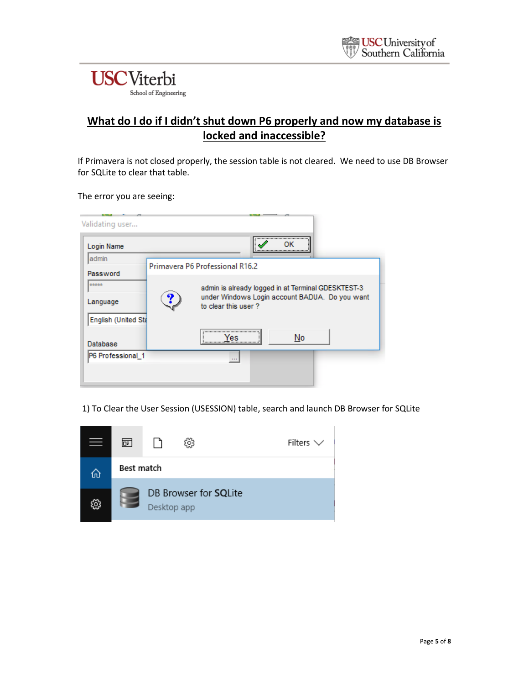

### **What do I do if I didn't shut down P6 properly and now my database is locked and inaccessible?**

If Primavera is not closed properly, the session table is not cleared. We need to use DB Browser for SQLite to clear that table.

The error you are seeing:

| Login Name                                           |   |                                                                                                                             | ок<br> |  |
|------------------------------------------------------|---|-----------------------------------------------------------------------------------------------------------------------------|--------|--|
| admin                                                |   | Primavera P6 Professional R16.2                                                                                             |        |  |
| Password<br>*****<br>Language<br>English (United Sta | ၇ | admin is already logged in at Terminal GDESKTEST-3<br>under Windows Login account BADUA. Do you want<br>to clear this user? |        |  |
| Database                                             |   | <br>oσ                                                                                                                      | No     |  |

1) To Clear the User Session (USESSION) table, search and launch DB Browser for SQLite

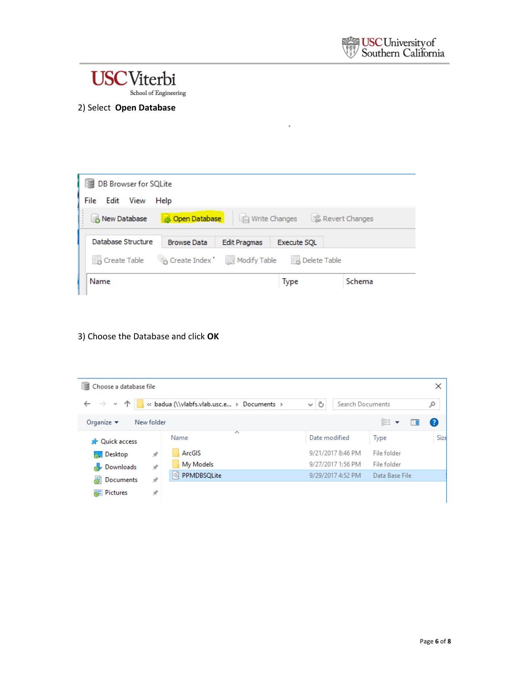

School of Engineering

#### 2) Select **Open Database**



3) Choose the Database and click **OK**

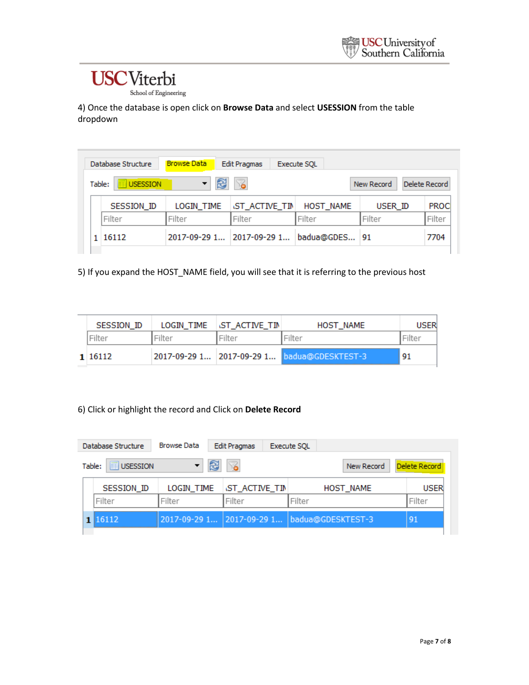School of Engineering

4) Once the database is open click on **Browse Data** and select **USESSION** from the table dropdown

| Database Structure        | <b>Browse Data</b>        | <b>Edit Pragmas</b>  | Execute SQL   |            |               |
|---------------------------|---------------------------|----------------------|---------------|------------|---------------|
| Table:<br><b>USESSION</b> | R                         | Y.                   |               | New Record | Delete Record |
| <b>SESSION ID</b>         | LOGIN TIME                | <b>ST ACTIVE TIM</b> | HOST_NAME     | USER ID    | <b>PROC</b>   |
| Filter                    | Filter                    | Filter               | Filter        | Filter     | Filter        |
| 1 16112                   | 2017-09-29 1 2017-09-29 1 |                      | badua@GDES 91 |            | 7704          |

5) If you expand the HOST\_NAME field, you will see that it is referring to the previous host

| SESSION ID | LOGIN TIME | <b>INST ACTIVE TIM</b> | HOST NAME                                   |    |
|------------|------------|------------------------|---------------------------------------------|----|
| liter      | .rter      |                        |                                             |    |
| 1 16112    |            |                        | 2017-09-29 1 2017-09-29 1 badua@GDESKTEST-3 | 91 |

6) Click or highlight the record and Click on **Delete Record**

|  | Database Structure        | <b>Browse Data</b> | <b>Edit Pragmas</b>  | <b>Execute SOL</b>                          |               |
|--|---------------------------|--------------------|----------------------|---------------------------------------------|---------------|
|  | Table:<br><b>USESSION</b> | £                  | $\mathbb{Z}$         | New Record                                  | Delete Record |
|  | SESSION ID                | LOGIN TIME         | <b>ST ACTIVE TIM</b> | <b>HOST_NAME</b>                            | <b>USER</b>   |
|  | Filter                    | Filter             | Filter               | Filter                                      | Filter        |
|  | 1 16112                   |                    |                      | 2017-09-29 1 2017-09-29 1 badua@GDESKTEST-3 | 91            |